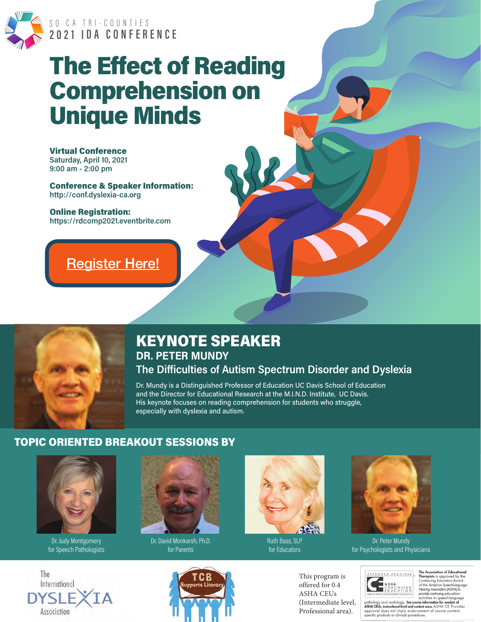

# SO CA TRI-COUNTIES<br>2021 IDA CONFERENCE

# **The Effect of Reading Comprehension on Unique Minds**

**Virtual Conference** Saturday, April 10, 2021  $9:00$  am - 2:00 pm

**Conference & Speaker Information:** http://conf.dyslexia-ca.org

**Online Registration:** https://rdcomp2021.eventbrite.com

### **Register Here!**



### **KEYNOTE SPEAKER DR. PETER MUNDY**

The Difficulties of Autism Spectrum Disorder and Dyslexia Dr. Mundy is a Distinguished Professor of Education UC Davis School of Education and the Director for Educational Research at the M.I.N.D. Institute, UC Davis.

His keynote focuses on reading comprehension for students who struggle,

**TOPIC ORIENTED BREAKOUT SESSIONS BY** 



Dr. Judy Montgomery for Speech Pathologists





especially with dyslexia and autism.

Dr. David Monkarsh, Ph.D. for Parents

TCB



**Ruth Bass, SLP** for Educators

This program is

offered for 0.4 **ASHA CEUs** (Intermediate level, Professional area).



Dr. Peter Mundy for Psychologists and Physicians

 $\begin{tabular}{|c|c|c|c|c|} \hline \textbf{APEIO VE E} & \textbf{The Association of Educational  
Therepists is approved by the  
Continuing Education Board by the  
Continuing Education Board  
2 GNU CA TIO N  
EDU CA TIO N  
EPIUC ATIO N  
EPIUC ATIO N  
2 GUTN  
2 GUTN  
2 GUTN  
2 GUTN  
2 GUTN  
2 GUTN  
2 GUTN  
2 GUTN  
2 GUTN  
2 GUTN  
2 GUTN  
2 GUTN  
2 GUTN  
2 GUTN  
2 GUTN  
2 GUTN  
2 GUTN  
2 GUTN  
2 GUTN  
2 GUTN  
2 G$